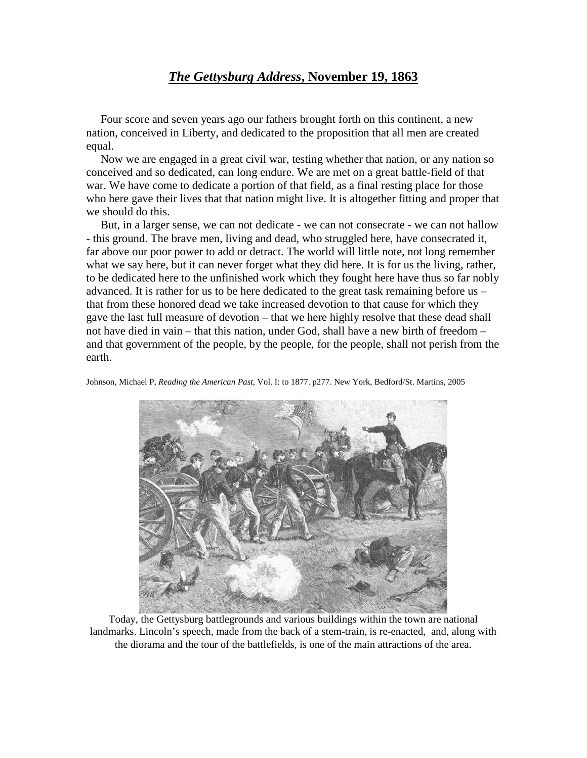## *The Gettysburg Address***, November 19, 1863**

 Four score and seven years ago our fathers brought forth on this continent, a new nation, conceived in Liberty, and dedicated to the proposition that all men are created equal.

 Now we are engaged in a great civil war, testing whether that nation, or any nation so conceived and so dedicated, can long endure. We are met on a great battle-field of that war. We have come to dedicate a portion of that field, as a final resting place for those who here gave their lives that that nation might live. It is altogether fitting and proper that we should do this.

 But, in a larger sense, we can not dedicate - we can not consecrate - we can not hallow - this ground. The brave men, living and dead, who struggled here, have consecrated it, far above our poor power to add or detract. The world will little note, not long remember what we say here, but it can never forget what they did here. It is for us the living, rather, to be dedicated here to the unfinished work which they fought here have thus so far nobly advanced. It is rather for us to be here dedicated to the great task remaining before us – that from these honored dead we take increased devotion to that cause for which they gave the last full measure of devotion – that we here highly resolve that these dead shall not have died in vain – that this nation, under God, shall have a new birth of freedom – and that government of the people, by the people, for the people, shall not perish from the earth.

Johnson, Michael P, *Reading the American Past*, Vol. I: to 1877. p277. New York, Bedford/St. Martins, 2005



Today, the Gettysburg battlegrounds and various buildings within the town are national landmarks. Lincoln's speech, made from the back of a stem-train, is re-enacted, and, along with the diorama and the tour of the battlefields, is one of the main attractions of the area.